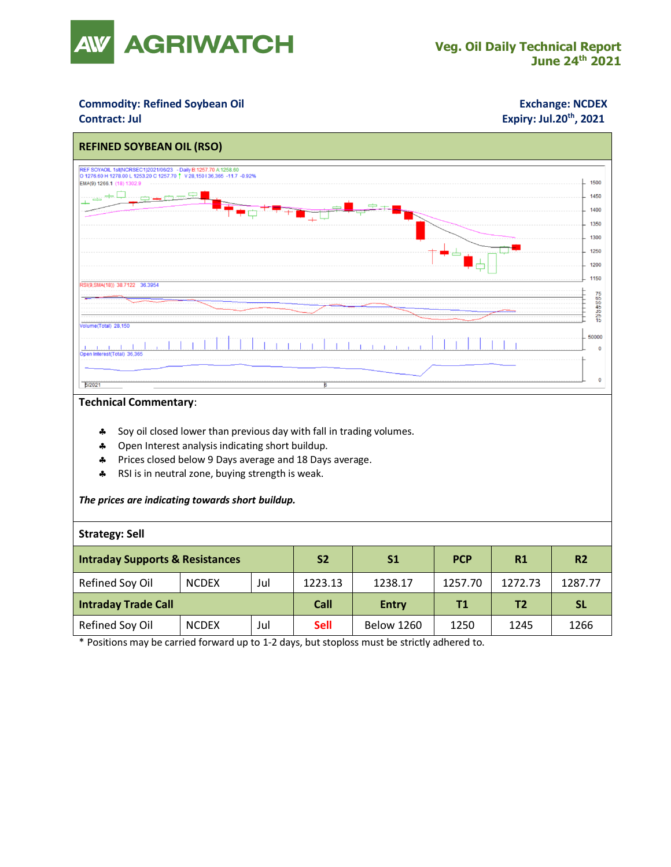

## **Commodity: Refined Soybean Oil <b>Exchange: NCDEX**

## **Contract: Jul Expiry: Jul.20<sup>th</sup>, 2021**



### **Technical Commentary**:

- Soy oil closed lower than previous day with fall in trading volumes.
- \* Open Interest analysis indicating short buildup.
- Prices closed below 9 Days average and 18 Days average.
- \* RSI is in neutral zone, buying strength is weak.

### *The prices are indicating towards short buildup.*

### **Strategy: Sell**

| <b>Intraday Supports &amp; Resistances</b> |              |     | <b>S2</b>   | S <sub>1</sub>    | <b>PCP</b> | R1             | R <sub>2</sub> |
|--------------------------------------------|--------------|-----|-------------|-------------------|------------|----------------|----------------|
| Refined Soy Oil                            | <b>NCDEX</b> | Jul | 1223.13     | 1238.17           | 1257.70    | 1272.73        | 1287.77        |
| <b>Intraday Trade Call</b>                 |              |     | Call        | <b>Entry</b>      | Τ1         | T <sub>2</sub> | <b>SL</b>      |
| Refined Soy Oil                            | <b>NCDEX</b> | Jul | <b>Sell</b> | <b>Below 1260</b> | 1250       | 1245           | 1266           |

\* Positions may be carried forward up to 1-2 days, but stoploss must be strictly adhered to.